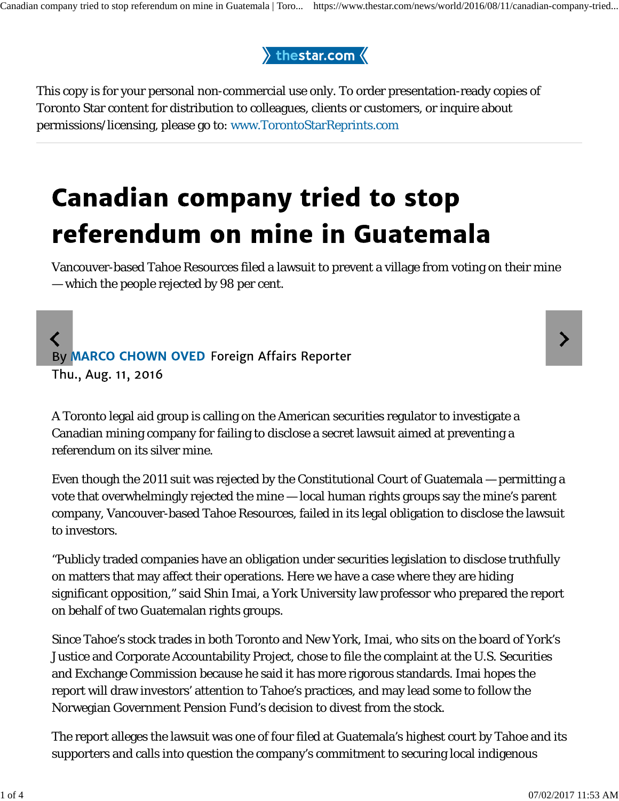## thestar.com $\langle$

This copy is for your personal non-commercial use only. To order presentation-ready copies of Toronto Star content for distribution to colleagues, clients or customers, or inquire about permissions/licensing, please go to: www.TorontoStarReprints.com

## **Canadian company tried to stop** referendum on mine in Guatemala

Vancouver-based Tahoe Resources filed a lawsuit to prevent a village from voting on their mine — which the people rejected by 98 per cent.

## $\overline{\mathbf{C}}$ By MARCO CHOWN OVED Foreign Affairs Reporter Thu., Aug. 11, 2016

A Toronto legal aid group is calling on the American securities regulator to investigate a Canadian mining company for failing to disclose a secret lawsuit aimed at preventing a referendum on its silver mine.

Even though the 2011 suit was rejected by the Constitutional Court of Guatemala — permitting a vote that overwhelmingly rejected the mine — local human rights groups say the mine's parent company, Vancouver-based Tahoe Resources, failed in its legal obligation to disclose the lawsuit to investors.

"Publicly traded companies have an obligation under securities legislation to disclose truthfully on matters that may affect their operations. Here we have a case where they are hiding significant opposition," said Shin Imai, a York University law professor who prepared the report on behalf of two Guatemalan rights groups.

Since Tahoe's stock trades in both Toronto and New York, Imai, who sits on the board of York's Justice and Corporate Accountability Project, chose to file the complaint at the U.S. Securities and Exchange Commission because he said it has more rigorous standards. Imai hopes the report will draw investors' attention to Tahoe's practices, and may lead some to follow the Norwegian Government Pension Fund's decision to divest from the stock.

The report alleges the lawsuit was one of four filed at Guatemala's highest court by Tahoe and its supporters and calls into question the company's commitment to securing local indigenous

≻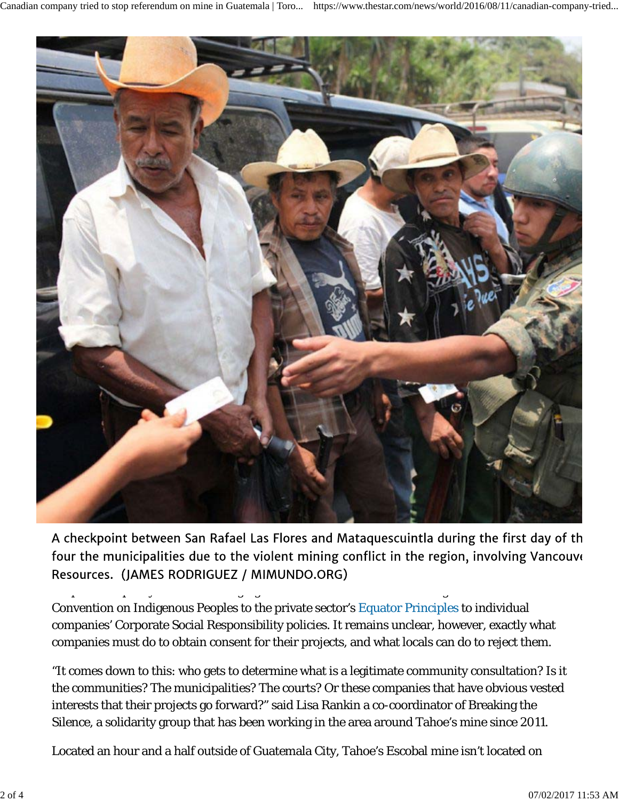

A checkponic between ban Karaer Las Frores a Resources. (JAMES RODRIGUEZ / MIMUNDO.ORG)

adopted into policy statements ranging from the International Labour Organization of  $\Omega$ Convention on Indigenous Peoples to the private sector's Equator Principles to individual companies' Corporate Social Responsibility policies. It remains unclear, however, exactly what companies must do to obtain consent for their projects, and what locals can do to reject them.

"It comes down to this: who gets to determine what is a legitimate community consultation? Is it the communities? The municipalities? The courts? Or these companies that have obvious vested interests that their projects go forward?" said Lisa Rankin a co-coordinator of Breaking the Silence, a solidarity group that has been working in the area around Tahoe's mine since 2011.

Located an hour and a half outside of Guatemala City, Tahoe's Escobal mine isn't located on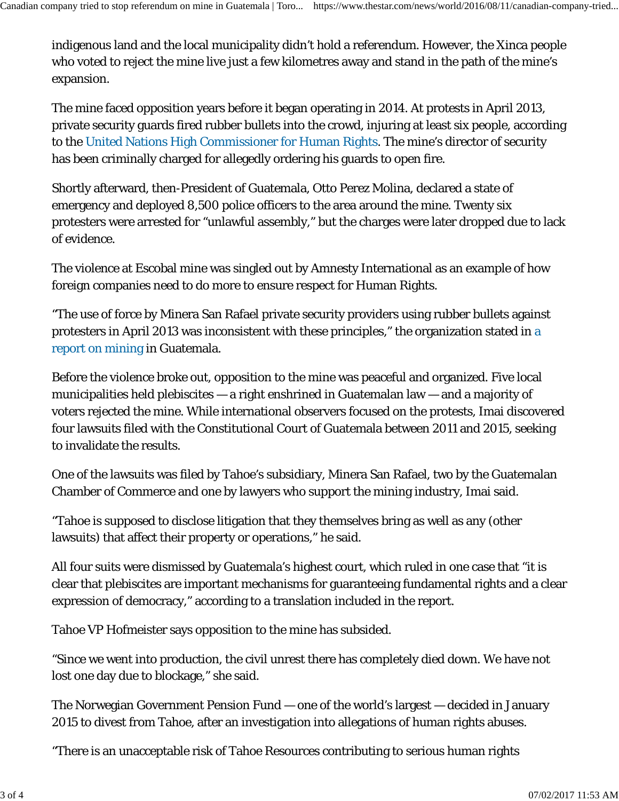indigenous land and the local municipality didn't hold a referendum. However, the Xinca people who voted to reject the mine live just a few kilometres away and stand in the path of the mine's expansion.

The mine faced opposition years before it began operating in 2014. At protests in April 2013, private security guards fired rubber bullets into the crowd, injuring at least six people, according to the United Nations High Commissioner for Human Rights. The mine's director of security has been criminally charged for allegedly ordering his guards to open fire.

Shortly afterward, then-President of Guatemala, Otto Perez Molina, declared a state of emergency and deployed 8,500 police officers to the area around the mine. Twenty six protesters were arrested for "unlawful assembly," but the charges were later dropped due to lack of evidence.

The violence at Escobal mine was singled out by Amnesty International as an example of how foreign companies need to do more to ensure respect for Human Rights.

"The use of force by Minera San Rafael private security providers using rubber bullets against protesters in April 2013 was inconsistent with these principles," the organization stated in a report on mining in Guatemala.

Before the violence broke out, opposition to the mine was peaceful and organized. Five local municipalities held plebiscites — a right enshrined in Guatemalan law — and a majority of voters rejected the mine. While international observers focused on the protests, Imai discovered four lawsuits filed with the Constitutional Court of Guatemala between 2011 and 2015, seeking to invalidate the results.

One of the lawsuits was filed by Tahoe's subsidiary, Minera San Rafael, two by the Guatemalan Chamber of Commerce and one by lawyers who support the mining industry, Imai said.

"Tahoe is supposed to disclose litigation that they themselves bring as well as any (other lawsuits) that affect their property or operations," he said.

All four suits were dismissed by Guatemala's highest court, which ruled in one case that "it is clear that plebiscites are important mechanisms for guaranteeing fundamental rights and a clear expression of democracy," according to a translation included in the report.

Tahoe VP Hofmeister says opposition to the mine has subsided.

"Since we went into production, the civil unrest there has completely died down. We have not lost one day due to blockage," she said.

The Norwegian Government Pension Fund — one of the world's largest — decided in January 2015 to divest from Tahoe, after an investigation into allegations of human rights abuses.

"There is an unacceptable risk of Tahoe Resources contributing to serious human rights